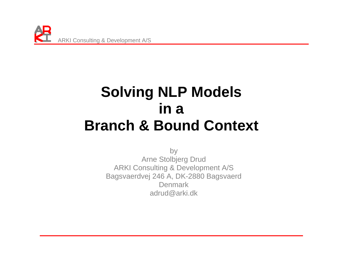

# **Solving NLP Models in a Branch & Bound Context**

by Arne Stolbjerg Drud ARKI Consulting & Development A/S Bagsvaerdvej 246 A, DK-2880 Bagsvaerd Denmark adrud@arki.dk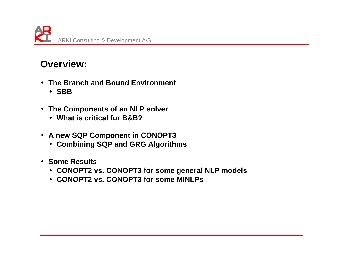

#### **Overview:**

- **The Branch and Bound Environment** 
	- **SBB**
- **The Components of an NLP solver** 
	- **What is critical for B&B?**
- **A new SQP Component in CONOPT3** 
	- **Combining SQP and GRG Algorithms**
- **Some Results** 
	- **CONOPT2 vs. CONOPT3 for some general NLP models**
	- **CONOPT2 vs. CONOPT3 for some MINLPs**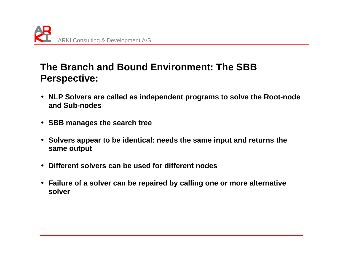

#### **The Branch and Bound Environment: The SBB Perspective:**

- **NLP Solvers are called as independent programs to solve the Root-node and Sub-nodes**
- **SBB manages the search tree**
- **Solvers appear to be identical: needs the same input and returns the same output**
- **Different solvers can be used for different nodes**
- **Failure of a solver can be repaired by calling one or more alternative solver**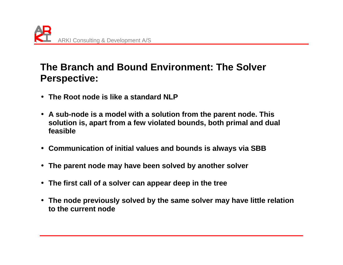

#### **The Branch and Bound Environment: The Solver Perspective:**

- **The Root node is like a standard NLP**
- **A sub-node is a model with a solution from the parent node. This solution is, apart from a few violated bounds, both primal and dual feasible**
- **Communication of initial values and bounds is always via SBB**
- **The parent node may have been solved by another solver**
- **The first call of a solver can appear deep in the tree**
- **The node previously solved by the same solver may have little relation to the current node**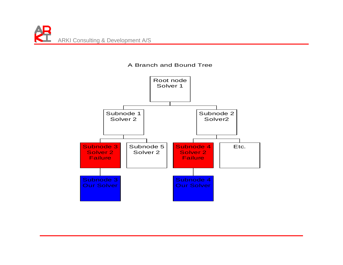

#### A Branch and Bound Tree

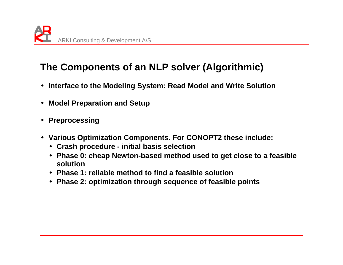# **The Components of an NLP solver (Algorithmic)**

- **Interface to the Modeling System: Read Model and Write Solution**
- **Model Preparation and Setup**
- **Preprocessing**
- **Various Optimization Components. For CONOPT2 these include:** 
	- **Crash procedure initial basis selection**
	- **Phase 0: cheap Newton-based method used to get close to a feasible solution**
	- **Phase 1: reliable method to find a feasible solution**
	- **Phase 2: optimization through sequence of feasible points**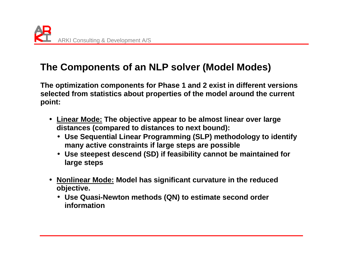# **The Components of an NLP solver (Model Modes)**

**The optimization components for Phase 1 and 2 exist in different versions selected from statistics about properties of the model around the current point:** 

- **Linear Mode: The objective appear to be almost linear over large distances (compared to distances to next bound):** 
	- **Use Sequential Linear Programming (SLP) methodology to identify many active constraints if large steps are possible**
	- **Use steepest descend (SD) if feasibility cannot be maintained for large steps**
- **Nonlinear Mode: Model has significant curvature in the reduced objective.** 
	- **Use Quasi-Newton methods (QN) to estimate second order information**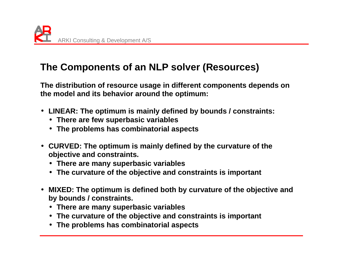## **The Components of an NLP solver (Resources)**

**The distribution of resource usage in different components depends on the model and its behavior around the optimum:** 

- **LINEAR: The optimum is mainly defined by bounds / constraints:** 
	- **There are few superbasic variables**
	- **The problems has combinatorial aspects**
- **CURVED: The optimum is mainly defined by the curvature of the objective and constraints.** 
	- **There are many superbasic variables**
	- **The curvature of the objective and constraints is important**
- **MIXED: The optimum is defined both by curvature of the objective and by bounds / constraints.** 
	- **There are many superbasic variables**
	- **The curvature of the objective and constraints is important**
	- **The problems has combinatorial aspects**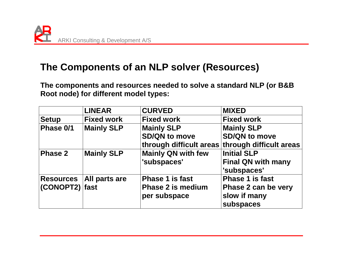#### **The Components of an NLP solver (Resources)**

**The components and resources needed to solve a standard NLP (or B&B Root node) for different model types:** 

|                  | <b>LINEAR</b>             | <b>CURVED</b>             | <b>MIXED</b>                                    |
|------------------|---------------------------|---------------------------|-------------------------------------------------|
| <b>Setup</b>     | <b>Fixed work</b>         | <b>Fixed work</b>         | <b>Fixed work</b>                               |
| Phase 0/1        | <b>Mainly SLP</b>         | <b>Mainly SLP</b>         | <b>Mainly SLP</b>                               |
|                  |                           | <b>SD/QN to move</b>      | <b>SD/QN to move</b>                            |
|                  |                           |                           | through difficult areas through difficult areas |
| <b>Phase 2</b>   | <b>Mainly SLP</b>         | <b>Mainly QN with few</b> | <b>Initial SLP</b>                              |
|                  |                           | 'subspaces'               | <b>Final QN with many</b><br>'subspaces'        |
|                  | Resources   All parts are | <b>Phase 1 is fast</b>    | <b>Phase 1 is fast</b>                          |
| $(CONOPT2)$ fast |                           | <b>Phase 2 is medium</b>  | Phase 2 can be very                             |
|                  |                           | per subspace              | slow if many                                    |
|                  |                           |                           | subspaces                                       |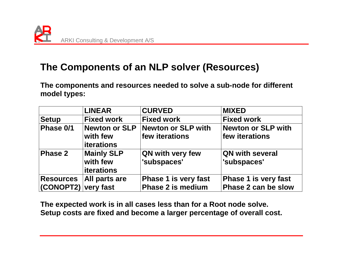### **The Components of an NLP solver (Resources)**

**The components and resources needed to solve a sub-node for different model types:** 

|                                    | <b>LINEAR</b>                                      | <b>CURVED</b>                                           | <b>MIXED</b>                                       |
|------------------------------------|----------------------------------------------------|---------------------------------------------------------|----------------------------------------------------|
| <b>Setup</b>                       | <b>Fixed work</b>                                  | <b>Fixed work</b>                                       | <b>Fixed work</b>                                  |
| Phase 0/1                          | <b>Newton or SLP</b><br>with few<br>iterations     | Newton or SLP with<br>few iterations                    | Newton or SLP with<br>few iterations               |
| Phase 2                            | <b>Mainly SLP</b><br>with few<br><b>iterations</b> | <b>QN with very few</b><br>'subspaces'                  | <b>QN with several</b><br>'subspaces'              |
| Resources  <br>(CONOPT2) very fast | All parts are                                      | <b>Phase 1 is very fast</b><br><b>Phase 2 is medium</b> | <b>Phase 1 is very fast</b><br>Phase 2 can be slow |

**The expected work is in all cases less than for a Root node solve. Setup costs are fixed and become a larger percentage of overall cost.**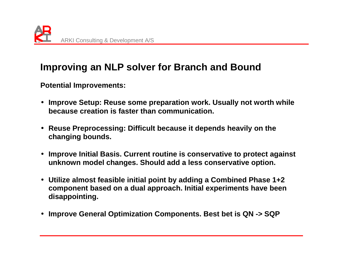

#### **Improving an NLP solver for Branch and Bound**

**Potential Improvements:** 

- **Improve Setup: Reuse some preparation work. Usually not worth while because creation is faster than communication.**
- **Reuse Preprocessing: Difficult because it depends heavily on the changing bounds.**
- **Improve Initial Basis. Current routine is conservative to protect against unknown model changes. Should add a less conservative option.**
- **Utilize almost feasible initial point by adding a Combined Phase 1+2 component based on a dual approach. Initial experiments have been disappointing.**
- **Improve General Optimization Components. Best bet is QN -> SQP**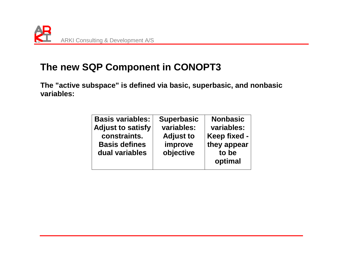

#### **The new SQP Component in CONOPT3**

**The "active subspace" is defined via basic, superbasic, and nonbasic variables:** 

| <b>Basis variables:</b><br><b>Adjust to satisfy</b><br>constraints.<br><b>Basis defines</b><br>dual variables | <b>Superbasic</b><br>variables:<br><b>Adjust to</b><br>improve<br>objective | <b>Nonbasic</b><br>variables:<br>Keep fixed -<br>they appear<br>to be<br>optimal |
|---------------------------------------------------------------------------------------------------------------|-----------------------------------------------------------------------------|----------------------------------------------------------------------------------|
|---------------------------------------------------------------------------------------------------------------|-----------------------------------------------------------------------------|----------------------------------------------------------------------------------|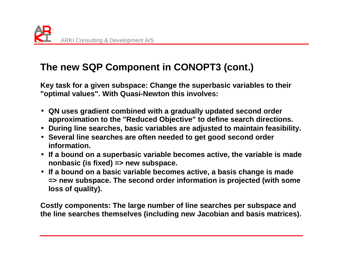# **The new SQP Component in CONOPT3 (cont.)**

**Key task for a given subspace: Change the superbasic variables to their "optimal values". With Quasi-Newton this involves:** 

- **QN uses gradient combined with a gradually updated second order approximation to the "Reduced Objective" to define search directions.**
- **During line searches, basic variables are adjusted to maintain feasibility.**
- **Several line searches are often needed to get good second order information.**
- **If a bound on a superbasic variable becomes active, the variable is made nonbasic (is fixed) => new subspace.**
- **If a bound on a basic variable becomes active, a basis change is made => new subspace. The second order information is projected (with some loss of quality).**

**Costly components: The large number of line searches per subspace and the line searches themselves (including new Jacobian and basis matrices).**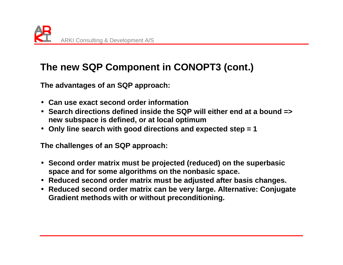# **The new SQP Component in CONOPT3 (cont.)**

**The advantages of an SQP approach:** 

- **Can use exact second order information**
- **Search directions defined inside the SQP will either end at a bound => new subspace is defined, or at local optimum**
- **Only line search with good directions and expected step = 1**

**The challenges of an SQP approach:** 

- **Second order matrix must be projected (reduced) on the superbasic space and for some algorithms on the nonbasic space.**
- **Reduced second order matrix must be adjusted after basis changes.**
- **Reduced second order matrix can be very large. Alternative: Conjugate Gradient methods with or without preconditioning.**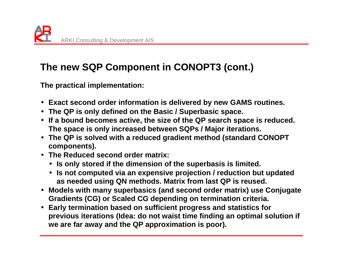# **The new SQP Component in CONOPT3 (cont.)**

**The practical implementation:** 

- **Exact second order information is delivered by new GAMS routines.**
- **The QP is only defined on the Basic / Superbasic space.**
- **If a bound becomes active, the size of the QP search space is reduced. The space is only increased between SQPs / Major iterations.**
- **The QP is solved with a reduced gradient method (standard CONOPT components).**
- **The Reduced second order matrix:** 
	- **Is only stored if the dimension of the superbasis is limited.**
	- **Is not computed via an expensive projection / reduction but updated as needed using QN methods. Matrix from last QP is reused.**
- **Models with many superbasics (and second order matrix) use Conjugate Gradients (CG) or Scaled CG depending on termination criteria.**
- **Early termination based on sufficient progress and statistics for previous iterations (Idea: do not waist time finding an optimal solution if we are far away and the QP approximation is poor).**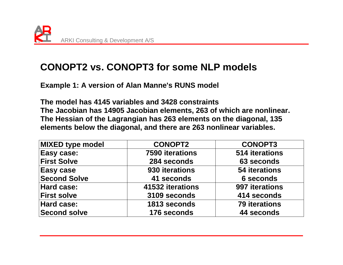#### **CONOPT2 vs. CONOPT3 for some NLP models**

**Example 1: A version of Alan Manne's RUNS model** 

**The model has 4145 variables and 3428 constraints The Jacobian has 14905 Jacobian elements, 263 of which are nonlinear. The Hessian of the Lagrangian has 263 elements on the diagonal, 135 elements below the diagonal, and there are 263 nonlinear variables.** 

| <b>MIXED type model</b> | <b>CONOPT2</b>   | <b>CONOPT3</b>       |
|-------------------------|------------------|----------------------|
| Easy case:              | 7590 iterations  | 514 iterations       |
| <b>First Solve</b>      | 284 seconds      | 63 seconds           |
| Easy case               | 930 iterations   | 54 iterations        |
| <b>Second Solve</b>     | 41 seconds       | <b>6 seconds</b>     |
| Hard case:              | 41532 iterations | 997 iterations       |
| <b>First solve</b>      | 3109 seconds     | 414 seconds          |
| <b>Hard case:</b>       | 1813 seconds     | <b>79 iterations</b> |
| Second solve            | 176 seconds      | 44 seconds           |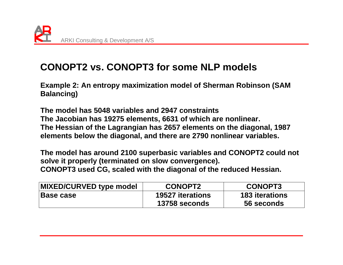### **CONOPT2 vs. CONOPT3 for some NLP models**

**Example 2: An entropy maximization model of Sherman Robinson (SAM Balancing)** 

**The model has 5048 variables and 2947 constraints The Jacobian has 19275 elements, 6631 of which are nonlinear. The Hessian of the Lagrangian has 2657 elements on the diagonal, 1987 elements below the diagonal, and there are 2790 nonlinear variables.** 

**The model has around 2100 superbasic variables and CONOPT2 could not solve it properly (terminated on slow convergence). CONOPT3 used CG, scaled with the diagonal of the reduced Hessian.** 

| <b>MIXED/CURVED type model</b> | <b>CONOPT2</b>          | <b>CONOPT3</b>        |
|--------------------------------|-------------------------|-----------------------|
| <b>Base case</b>               | <b>19527 iterations</b> | <b>183 iterations</b> |
|                                | 13758 seconds           | 56 seconds            |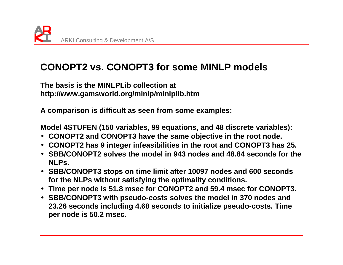

### **CONOPT2 vs. CONOPT3 for some MINLP models**

**The basis is the MINLPLib collection at http://www.gamsworld.org/minlp/minlplib.htm** 

**A comparison is difficult as seen from some examples:** 

**Model 4STUFEN (150 variables, 99 equations, and 48 discrete variables):** 

- **CONOPT2 and CONOPT3 have the same objective in the root node.**
- **CONOPT2 has 9 integer infeasibilities in the root and CONOPT3 has 25.**
- **SBB/CONOPT2 solves the model in 943 nodes and 48.84 seconds for the NLPs.**
- **SBB/CONOPT3 stops on time limit after 10097 nodes and 600 seconds for the NLPs without satisfying the optimality conditions.**
- **Time per node is 51.8 msec for CONOPT2 and 59.4 msec for CONOPT3.**
- **SBB/CONOPT3 with pseudo-costs solves the model in 370 nodes and 23.26 seconds including 4.68 seconds to initialize pseudo-costs. Time per node is 50.2 msec.**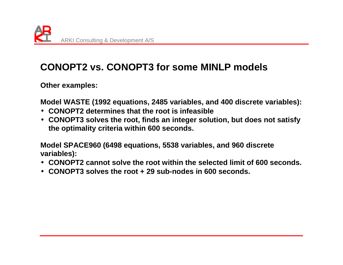# **CONOPT2 vs. CONOPT3 for some MINLP models**

**Other examples:** 

**Model WASTE (1992 equations, 2485 variables, and 400 discrete variables):** 

- **CONOPT2 determines that the root is infeasible**
- **CONOPT3 solves the root, finds an integer solution, but does not satisfy the optimality criteria within 600 seconds.**

**Model SPACE960 (6498 equations, 5538 variables, and 960 discrete variables):** 

- **CONOPT2 cannot solve the root within the selected limit of 600 seconds.**
- **CONOPT3 solves the root + 29 sub-nodes in 600 seconds.**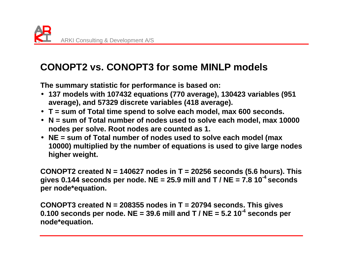# **CONOPT2 vs. CONOPT3 for some MINLP models**

**The summary statistic for performance is based on:** 

- **137 models with 107432 equations (770 average), 130423 variables (951 average), and 57329 discrete variables (418 average).**
- **T = sum of Total time spend to solve each model, max 600 seconds.**
- **N = sum of Total number of nodes used to solve each model, max 10000 nodes per solve. Root nodes are counted as 1.**
- **NE = sum of Total number of nodes used to solve each model (max 10000) multiplied by the number of equations is used to give large nodes higher weight.**

**CONOPT2 created N = 140627 nodes in T = 20256 seconds (5.6 hours). This gives 0.144 seconds per node. NE = 25.9 mill and T / NE = 7.8 10-4 seconds per node\*equation.**

**CONOPT3 created N = 208355 nodes in T = 20794 seconds. This gives 0.100 seconds per node. NE = 39.6 mill and T / NE = 5.2 10-4 seconds per node\*equation.**